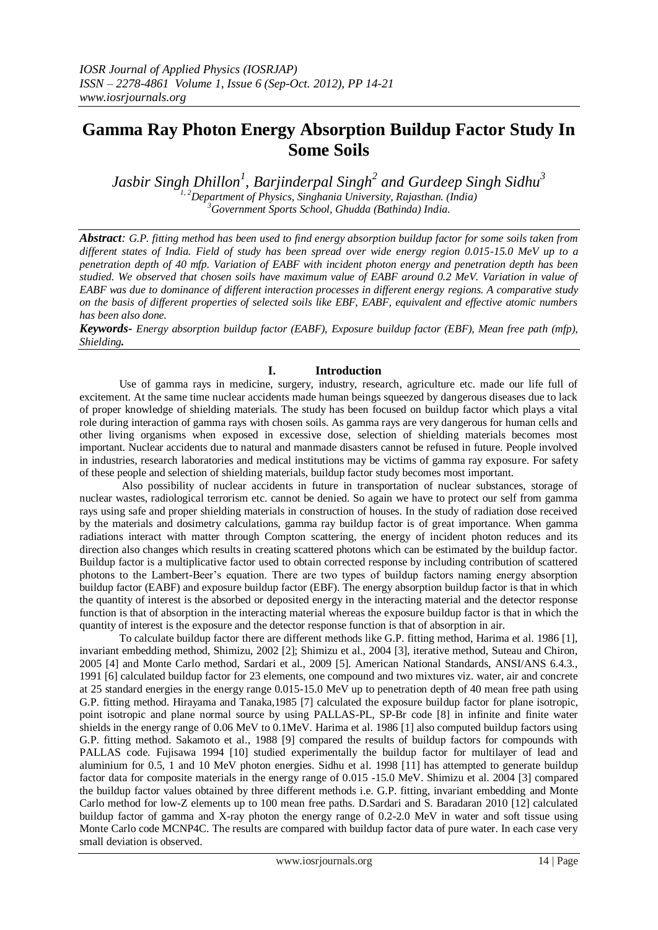# **Gamma Ray Photon Energy Absorption Buildup Factor Study In Some Soils**

*Jasbir Singh Dhillon<sup>1</sup> , Barjinderpal Singh<sup>2</sup> and Gurdeep Singh Sidhu<sup>3</sup> 1, 2Department of Physics, Singhania University, Rajasthan. (India) <sup>3</sup>Government Sports School, Ghudda (Bathinda) India.*

*Abstract: G.P. fitting method has been used to find energy absorption buildup factor for some soils taken from different states of India. Field of study has been spread over wide energy region 0.015-15.0 MeV up to a penetration depth of 40 mfp. Variation of EABF with incident photon energy and penetration depth has been studied. We observed that chosen soils have maximum value of EABF around 0.2 MeV. Variation in value of EABF was due to dominance of different interaction processes in different energy regions. A comparative study on the basis of different properties of selected soils like EBF, EABF, equivalent and effective atomic numbers has been also done.* 

*Keywords- Energy absorption buildup factor (EABF), Exposure buildup factor (EBF), Mean free path (mfp), Shielding.*

# **I. Introduction**

Use of gamma rays in medicine, surgery, industry, research, agriculture etc. made our life full of excitement. At the same time nuclear accidents made human beings squeezed by dangerous diseases due to lack of proper knowledge of shielding materials. The study has been focused on buildup factor which plays a vital role during interaction of gamma rays with chosen soils. As gamma rays are very dangerous for human cells and other living organisms when exposed in excessive dose, selection of shielding materials becomes most important. Nuclear accidents due to natural and manmade disasters cannot be refused in future. People involved in industries, research laboratories and medical institutions may be victims of gamma ray exposure. For safety of these people and selection of shielding materials, buildup factor study becomes most important.

Also possibility of nuclear accidents in future in transportation of nuclear substances, storage of nuclear wastes, radiological terrorism etc. cannot be denied. So again we have to protect our self from gamma rays using safe and proper shielding materials in construction of houses. In the study of radiation dose received by the materials and dosimetry calculations, gamma ray buildup factor is of great importance. When gamma radiations interact with matter through Compton scattering, the energy of incident photon reduces and its direction also changes which results in creating scattered photons which can be estimated by the buildup factor. Buildup factor is a multiplicative factor used to obtain corrected response by including contribution of scattered photons to the Lambert-Beer's equation. There are two types of buildup factors naming energy absorption buildup factor (EABF) and exposure buildup factor (EBF). The energy absorption buildup factor is that in which the quantity of interest is the absorbed or deposited energy in the interacting material and the detector response function is that of absorption in the interacting material whereas the exposure buildup factor is that in which the quantity of interest is the exposure and the detector response function is that of absorption in air.

To calculate buildup factor there are different methods like G.P. fitting method, Harima et al. 1986 [1], invariant embedding method, Shimizu, 2002 [2]; Shimizu et al., 2004 [3], iterative method, Suteau and Chiron, 2005 [4] and Monte Carlo method, Sardari et al., 2009 [5]. American National Standards, ANSI/ANS 6.4.3., 1991 [6] calculated buildup factor for 23 elements, one compound and two mixtures viz. water, air and concrete at 25 standard energies in the energy range 0.015-15.0 MeV up to penetration depth of 40 mean free path using G.P. fitting method. Hirayama and Tanaka,1985 [7] calculated the exposure buildup factor for plane isotropic, point isotropic and plane normal source by using PALLAS-PL, SP-Br code [8] in infinite and finite water shields in the energy range of 0.06 MeV to 0.1MeV. Harima et al. 1986 [1] also computed buildup factors using G.P. fitting method. Sakamoto et al., 1988 [9] compared the results of buildup factors for compounds with PALLAS code. Fujisawa 1994 [10] studied experimentally the buildup factor for multilayer of lead and aluminium for 0.5, 1 and 10 MeV photon energies. Sidhu et al. 1998 [11] has attempted to generate buildup factor data for composite materials in the energy range of 0.015 -15.0 MeV. Shimizu et al. 2004 [3] compared the buildup factor values obtained by three different methods i.e. G.P. fitting, invariant embedding and Monte Carlo method for low-Z elements up to 100 mean free paths. D.Sardari and S. Baradaran 2010 [12] calculated buildup factor of gamma and X-ray photon the energy range of 0.2-2.0 MeV in water and soft tissue using Monte Carlo code MCNP4C. The results are compared with buildup factor data of pure water. In each case very small deviation is observed.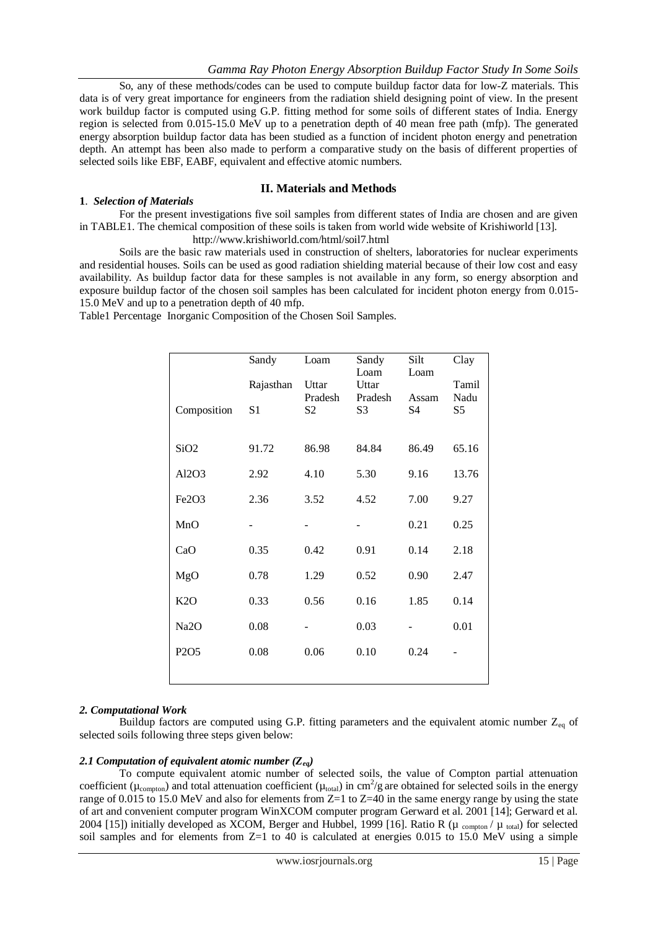So, any of these methods/codes can be used to compute buildup factor data for low-Z materials. This data is of very great importance for engineers from the radiation shield designing point of view. In the present work buildup factor is computed using G.P. fitting method for some soils of different states of India. Energy region is selected from 0.015-15.0 MeV up to a penetration depth of 40 mean free path (mfp). The generated energy absorption buildup factor data has been studied as a function of incident photon energy and penetration depth. An attempt has been also made to perform a comparative study on the basis of different properties of selected soils like EBF, EABF, equivalent and effective atomic numbers.

# **II. Materials and Methods**

## **1**. *Selection of Materials*

For the present investigations five soil samples from different states of India are chosen and are given in TABLE1. The chemical composition of these soils is taken from world wide website of Krishiworld [13].

<http://www.krishiworld.com/html/soil7.html>

Soils are the basic raw materials used in construction of shelters, laboratories for nuclear experiments and residential houses. Soils can be used as good radiation shielding material because of their low cost and easy availability. As buildup factor data for these samples is not available in any form, so energy absorption and exposure buildup factor of the chosen soil samples has been calculated for incident photon energy from 0.015- 15.0 MeV and up to a penetration depth of 40 mfp.

Table1 Percentage Inorganic Composition of the Chosen Soil Samples.

|                   | Sandy          | Loam             | Sandy<br>Loam    | Silt<br>Loam   | Clay          |
|-------------------|----------------|------------------|------------------|----------------|---------------|
|                   | Rajasthan      | Uttar<br>Pradesh | Uttar<br>Pradesh | Assam          | Tamil<br>Nadu |
| Composition       | S <sub>1</sub> | S <sub>2</sub>   | S3               | S <sub>4</sub> | S5            |
|                   |                |                  |                  |                |               |
| SiO <sub>2</sub>  | 91.72          | 86.98            | 84.84            | 86.49          | 65.16         |
| Al2O3             | 2.92           | 4.10             | 5.30             | 9.16           | 13.76         |
| Fe2O3             | 2.36           | 3.52             | 4.52             | 7.00           | 9.27          |
| MnO               |                |                  |                  | 0.21           | 0.25          |
| CaO               | 0.35           | 0.42             | 0.91             | 0.14           | 2.18          |
| MgO               | 0.78           | 1.29             | 0.52             | 0.90           | 2.47          |
| K2O               | 0.33           | 0.56             | 0.16             | 1.85           | 0.14          |
| Na <sub>2</sub> O | 0.08           |                  | 0.03             |                | 0.01          |
| P2O5              | 0.08           | 0.06             | 0.10             | 0.24           |               |
|                   |                |                  |                  |                |               |

## *2. Computational Work*

Buildup factors are computed using G.P. fitting parameters and the equivalent atomic number  $Z_{eq}$  of selected soils following three steps given below:

## 2.1 Computation of equivalent atomic number  $(Z_{eq})$

To compute equivalent atomic number of selected soils, the value of Compton partial attenuation coefficient ( $\mu_{\text{compton}}$ ) and total attenuation coefficient ( $\mu_{\text{total}}$ ) in cm<sup>2</sup>/g are obtained for selected soils in the energy range of 0.015 to 15.0 MeV and also for elements from Z=1 to Z=40 in the same energy range by using the state of art and convenient computer program WinXCOM computer program Gerward et al. 2001 [14]; Gerward et al. 2004 [15]) initially developed as XCOM, Berger and Hubbel, 1999 [16]. Ratio R ( $\mu$  compton /  $\mu$  total) for selected soil samples and for elements from Z=1 to 40 is calculated at energies 0.015 to 15.0 MeV using a simple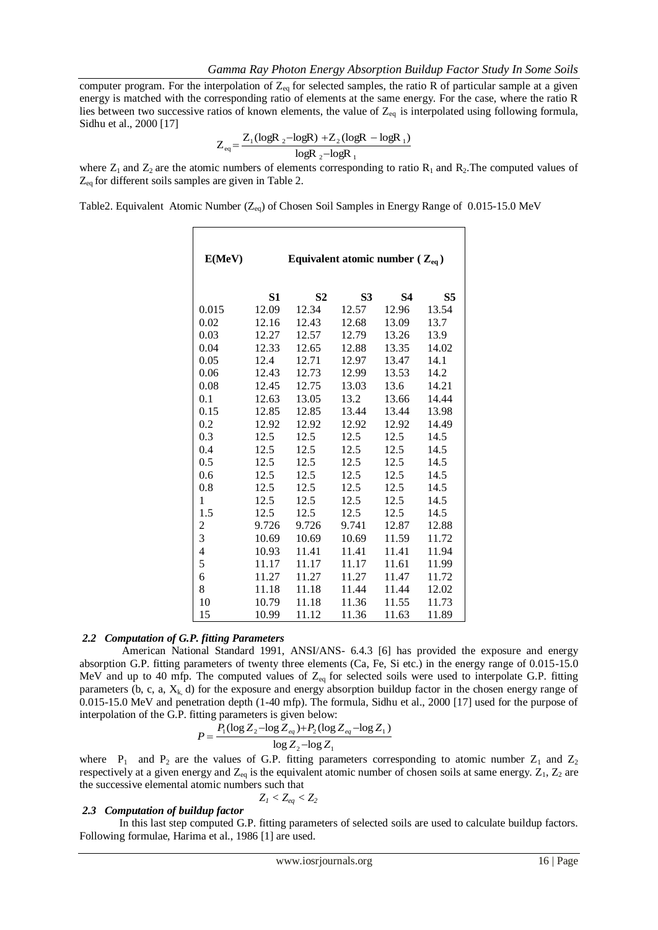computer program. For the interpolation of  $Z_{eq}$  for selected samples, the ratio R of particular sample at a given energy is matched with the corresponding ratio of elements at the same energy. For the case, where the ratio R lies between two successive ratios of known elements, the value of  $Z_{eq}$  is interpolated using following formula, Sidhu et al., 2000 [17]

$$
Z_{eq} = \frac{Z_1(\log R_2 - \log R) + Z_2(\log R - \log R_1)}{\log R_2 - \log R_1}
$$

where  $Z_1$  and  $Z_2$  are the atomic numbers of elements corresponding to ratio  $R_1$  and  $R_2$ . The computed values of  $Z_{eq}$  for different soils samples are given in Table 2.

Table2. Equivalent Atomic Number (Z<sub>eq</sub>) of Chosen Soil Samples in Energy Range of 0.015-15.0 MeV

| E(MeV)                   |       | Equivalent atomic number ( $Z_{eq}$ ) |           |           |                |
|--------------------------|-------|---------------------------------------|-----------|-----------|----------------|
|                          | S1    | S <sub>2</sub>                        | <b>S3</b> | <b>S4</b> | S <sub>5</sub> |
| 0.015                    | 12.09 | 12.34                                 | 12.57     | 12.96     | 13.54          |
| 0.02                     | 12.16 | 12.43                                 | 12.68     | 13.09     | 13.7           |
| 0.03                     | 12.27 | 12.57                                 | 12.79     | 13.26     | 13.9           |
| 0.04                     | 12.33 | 12.65                                 | 12.88     | 13.35     | 14.02          |
| 0.05                     | 12.4  | 12.71                                 | 12.97     | 13.47     | 14.1           |
| 0.06                     | 12.43 | 12.73                                 | 12.99     | 13.53     | 14.2           |
| 0.08                     | 12.45 | 12.75                                 | 13.03     | 13.6      | 14.21          |
| 0.1                      | 12.63 | 13.05                                 | 13.2      | 13.66     | 14.44          |
| 0.15                     | 12.85 | 12.85                                 | 13.44     | 13.44     | 13.98          |
| 0.2                      | 12.92 | 12.92                                 | 12.92     | 12.92     | 14.49          |
| 0.3                      | 12.5  | 12.5                                  | 12.5      | 12.5      | 14.5           |
| 0.4                      | 12.5  | 12.5                                  | 12.5      | 12.5      | 14.5           |
| 0.5                      | 12.5  | 12.5                                  | 12.5      | 12.5      | 14.5           |
| 0.6                      | 12.5  | 12.5                                  | 12.5      | 12.5      | 14.5           |
| 0.8                      | 12.5  | 12.5                                  | 12.5      | 12.5      | 14.5           |
| 1                        | 12.5  | 12.5                                  | 12.5      | 12.5      | 14.5           |
| 1.5                      | 12.5  | 12.5                                  | 12.5      | 12.5      | 14.5           |
| $\overline{\mathbf{c}}$  | 9.726 | 9.726                                 | 9.741     | 12.87     | 12.88          |
| 3                        | 10.69 | 10.69                                 | 10.69     | 11.59     | 11.72          |
| $\overline{\mathcal{L}}$ | 10.93 | 11.41                                 | 11.41     | 11.41     | 11.94          |
| 5                        | 11.17 | 11.17                                 | 11.17     | 11.61     | 11.99          |
| 6                        | 11.27 | 11.27                                 | 11.27     | 11.47     | 11.72          |
| 8                        | 11.18 | 11.18                                 | 11.44     | 11.44     | 12.02          |
| 10                       | 10.79 | 11.18                                 | 11.36     | 11.55     | 11.73          |
| 15                       | 10.99 | 11.12                                 | 11.36     | 11.63     | 11.89          |

#### *2.2 Computation of G.P. fitting Parameters*

American National Standard 1991, ANSI/ANS- 6.4.3 [6] has provided the exposure and energy absorption G.P. fitting parameters of twenty three elements (Ca, Fe, Si etc.) in the energy range of 0.015-15.0 MeV and up to 40 mfp. The computed values of  $Z_{eq}$  for selected soils were used to interpolate G.P. fitting parameters (b, c, a,  $X_k$ , d) for the exposure and energy absorption buildup factor in the chosen energy range of 0.015-15.0 MeV and penetration depth (1-40 mfp). The formula, Sidhu et al., 2000 [17] used for the purpose of interpolation of the G.P. fitting parameters is given below:

$$
P = \frac{P_1(\log Z_2 - \log Z_{eq}) + P_2(\log Z_{eq} - \log Z_1)}{\log Z_2 - \log Z_1}
$$

where  $P_1$  and  $P_2$  are the values of G.P. fitting parameters corresponding to atomic number  $Z_1$  and  $Z_2$ respectively at a given energy and  $Z_{eq}$  is the equivalent atomic number of chosen soils at same energy.  $Z_1$ ,  $Z_2$  are the successive elemental atomic numbers such that

$$
Z_1 < Z_{eq} < Z_2\,
$$

#### *2.3 Computation of buildup factor*

In this last step computed G.P. fitting parameters of selected soils are used to calculate buildup factors. Following formulae, Harima et al., 1986 [1] are used.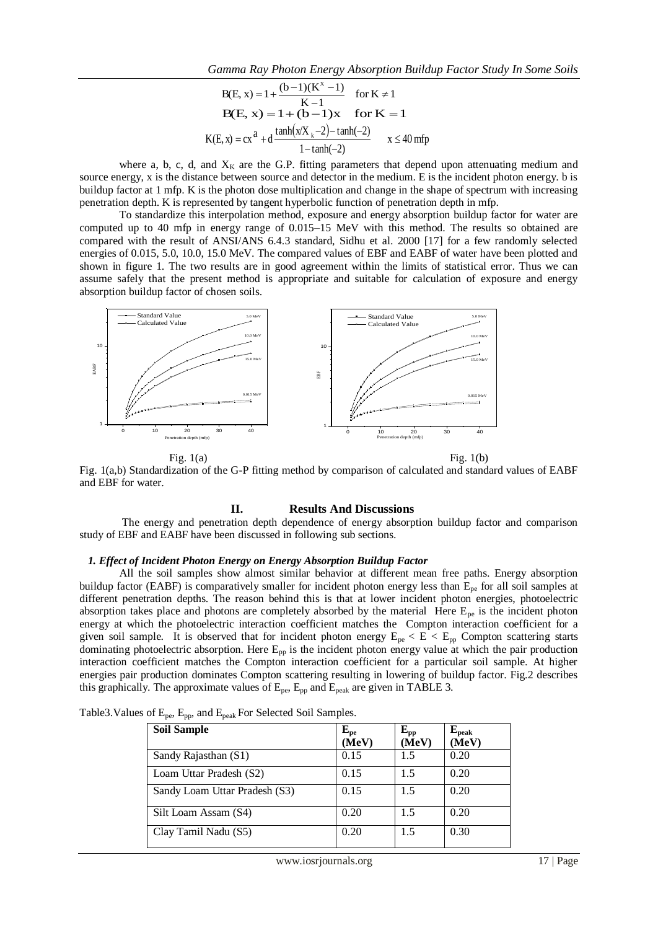B(E, x) = 1 + 
$$
\frac{(b-1)(K^x - 1)}{K-1}
$$
 for K  $\neq$  1  
\nB(E, x) = 1 + (b-1)x for K = 1  
\nK(E, x) = cx<sup>2</sup> + d  $\frac{\tanh(x/X_k - 2) - \tanh(-2)}{1 - \tanh(-2)}$  x  $\leq$  40 mfp

where a, b, c, d, and  $X_K$  are the G.P. fitting parameters that depend upon attenuating medium and source energy, x is the distance between source and detector in the medium. E is the incident photon energy. b is buildup factor at 1 mfp. K is the photon dose multiplication and change in the shape of spectrum with increasing penetration depth. K is represented by tangent hyperbolic function of penetration depth in mfp.

To standardize this interpolation method, exposure and energy absorption buildup factor for water are computed up to 40 mfp in energy range of 0.015–15 MeV with this method. The results so obtained are compared with the result of ANSI/ANS 6.4.3 standard, Sidhu et al. 2000 [17] for a few randomly selected energies of 0.015, 5.0, 10.0, 15.0 MeV. The compared values of EBF and EABF of water have been plotted and shown in figure 1. The two results are in good agreement within the limits of statistical error. Thus we can assume safely that the present method is appropriate and suitable for calculation of exposure and energy absorption buildup factor of chosen soils.



Fig.  $1(a)$  Fig.  $1(b)$ 

Fig. 1(a,b) Standardization of the G-P fitting method by comparison of calculated and standard values of EABF and EBF for water.

#### **II. Results And Discussions**

The energy and penetration depth dependence of energy absorption buildup factor and comparison study of EBF and EABF have been discussed in following sub sections.

#### *1. Effect of Incident Photon Energy on Energy Absorption Buildup Factor*

All the soil samples show almost similar behavior at different mean free paths. Energy absorption buildup factor (EABF) is comparatively smaller for incident photon energy less than  $E_{pe}$  for all soil samples at different penetration depths. The reason behind this is that at lower incident photon energies, photoelectric absorption takes place and photons are completely absorbed by the material Here  $E_{pe}$  is the incident photon energy at which the photoelectric interaction coefficient matches the Compton interaction coefficient for a given soil sample. It is observed that for incident photon energy  $E_{pe} < E < E_{pp}$  Compton scattering starts dominating photoelectric absorption. Here E<sub>pp</sub> is the incident photon energy value at which the pair production interaction coefficient matches the Compton interaction coefficient for a particular soil sample. At higher energies pair production dominates Compton scattering resulting in lowering of buildup factor. Fig.2 describes this graphically. The approximate values of  $E_{pe}$ ,  $E_{pp}$  and  $E_{peak}$  are given in TABLE 3.

| <b>Soil Sample</b>            | ${\bf E_{pe}}$ | $E_{\rm pp}$ | $E_{\rm peak}$ |
|-------------------------------|----------------|--------------|----------------|
|                               | (MeV)          | (MeV)        | (MeV)          |
| Sandy Rajasthan (S1)          | 0.15           | 1.5          | 0.20           |
| Loam Uttar Pradesh (S2)       | 0.15           | 1.5          | 0.20           |
| Sandy Loam Uttar Pradesh (S3) | 0.15           | 1.5          | 0.20           |
| Silt Loam Assam (S4)          | 0.20           | 1.5          | 0.20           |
| Clay Tamil Nadu (S5)          | 0.20           | 1.5          | 0.30           |

Table3. Values of E<sub>pe</sub>, E<sub>pp</sub>, and E<sub>peak</sub> For Selected Soil Samples.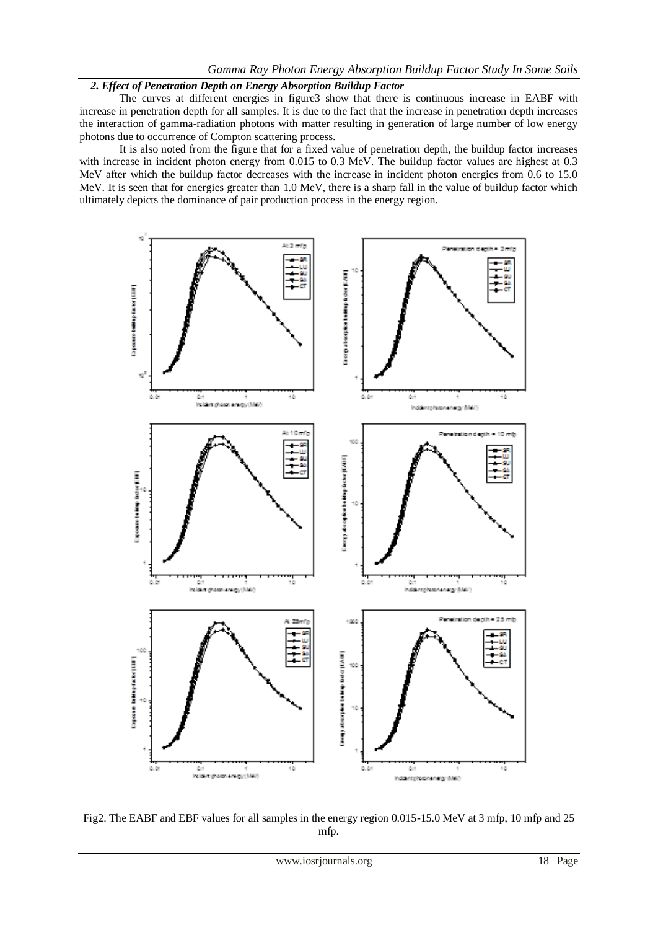## *2. Effect of Penetration Depth on Energy Absorption Buildup Factor*

The curves at different energies in figure3 show that there is continuous increase in EABF with increase in penetration depth for all samples. It is due to the fact that the increase in penetration depth increases the interaction of gamma-radiation photons with matter resulting in generation of large number of low energy photons due to occurrence of Compton scattering process.

It is also noted from the figure that for a fixed value of penetration depth, the buildup factor increases with increase in incident photon energy from 0.015 to 0.3 MeV. The buildup factor values are highest at 0.3 MeV after which the buildup factor decreases with the increase in incident photon energies from 0.6 to 15.0 MeV. It is seen that for energies greater than 1.0 MeV, there is a sharp fall in the value of buildup factor which ultimately depicts the dominance of pair production process in the energy region.



Fig2. The EABF and EBF values for all samples in the energy region 0.015-15.0 MeV at 3 mfp, 10 mfp and 25 mfp.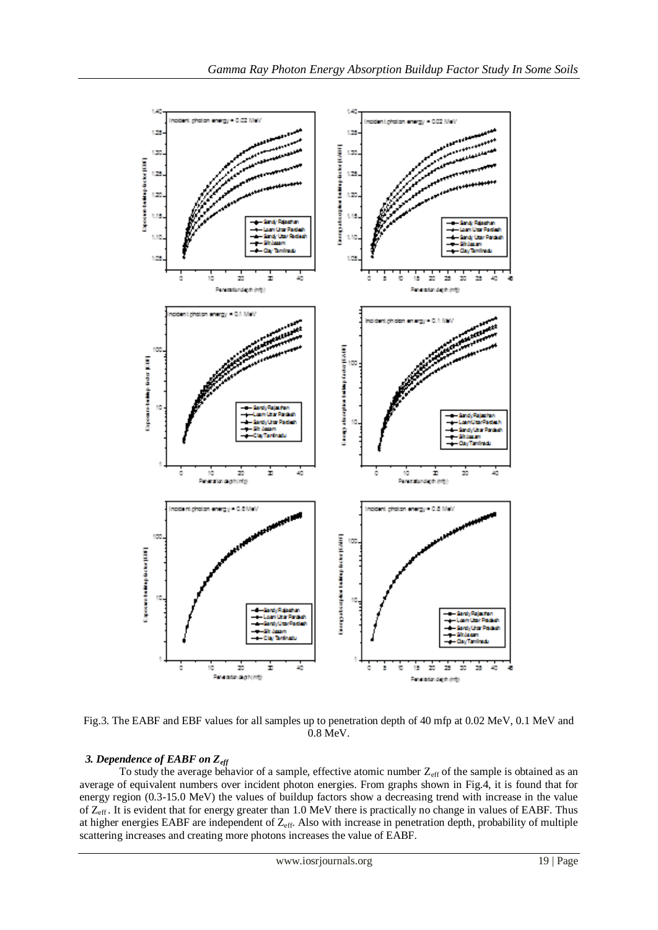

Fig.3. The EABF and EBF values for all samples up to penetration depth of 40 mfp at 0.02 MeV, 0.1 MeV and 0.8 MeV.

# *3. Dependence of EABF on Zeff*

To study the average behavior of a sample, effective atomic number  $Z_{\text{eff}}$  of the sample is obtained as an average of equivalent numbers over incident photon energies. From graphs shown in Fig.4, it is found that for energy region (0.3-15.0 MeV) the values of buildup factors show a decreasing trend with increase in the value of Z<sub>eff</sub>. It is evident that for energy greater than 1.0 MeV there is practically no change in values of EABF. Thus at higher energies EABF are independent of Zeff. Also with increase in penetration depth, probability of multiple scattering increases and creating more photons increases the value of EABF.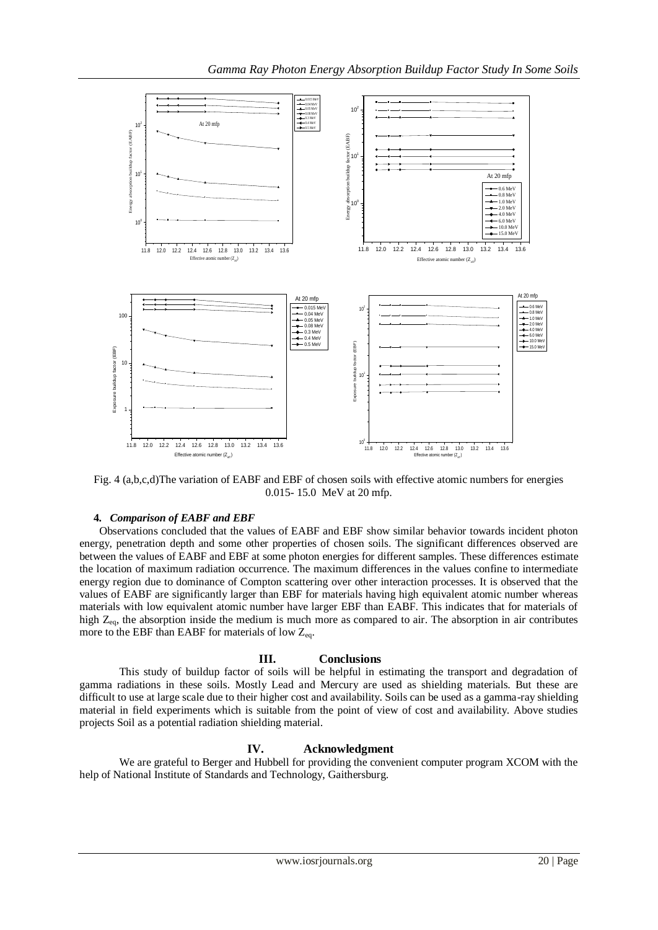

Fig. 4 (a,b,c,d)The variation of EABF and EBF of chosen soils with effective atomic numbers for energies 0.015- 15.0 MeV at 20 mfp.

# **4.** *Comparison of EABF and EBF*

Observations concluded that the values of EABF and EBF show similar behavior towards incident photon energy, penetration depth and some other properties of chosen soils. The significant differences observed are between the values of EABF and EBF at some photon energies for different samples. These differences estimate the location of maximum radiation occurrence. The maximum differences in the values confine to intermediate energy region due to dominance of Compton scattering over other interaction processes. It is observed that the values of EABF are significantly larger than EBF for materials having high equivalent atomic number whereas materials with low equivalent atomic number have larger EBF than EABF. This indicates that for materials of high  $Z_{eq}$ , the absorption inside the medium is much more as compared to air. The absorption in air contributes more to the EBF than EABF for materials of low  $Z_{eq}$ .

# **III. Conclusions**

This study of buildup factor of soils will be helpful in estimating the transport and degradation of gamma radiations in these soils. Mostly Lead and Mercury are used as shielding materials. But these are difficult to use at large scale due to their higher cost and availability. Soils can be used as a gamma-ray shielding material in field experiments which is suitable from the point of view of cost and availability. Above studies projects Soil as a potential radiation shielding material.

# **IV. Acknowledgment**

We are grateful to Berger and Hubbell for providing the convenient computer program XCOM with the help of National Institute of Standards and Technology, Gaithersburg.